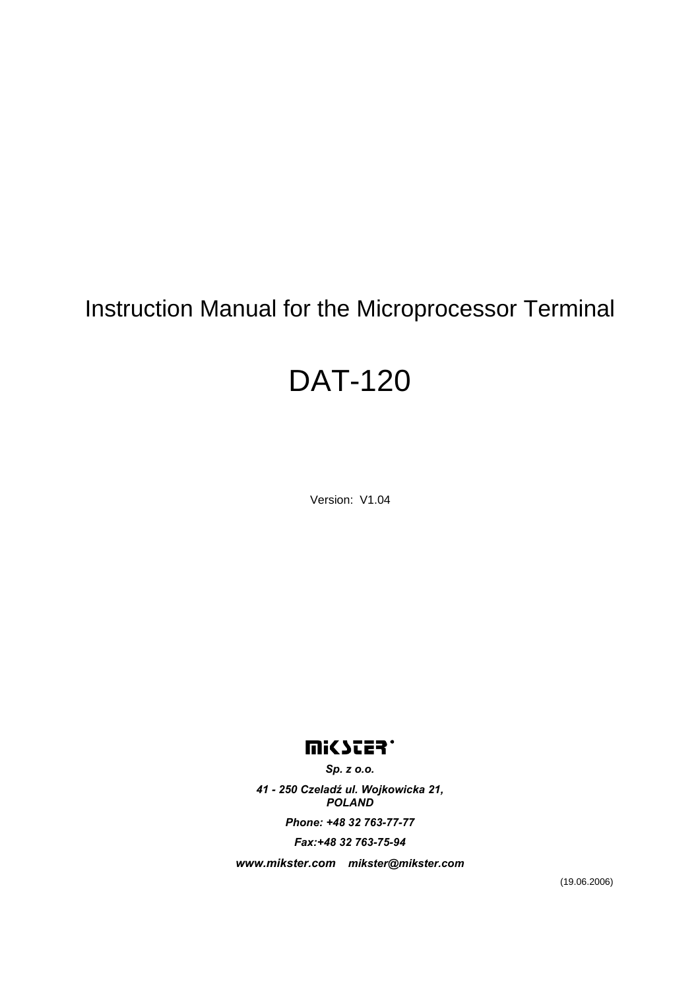## Instruction Manual for the Microprocessor Terminal

# DAT-120

Version: V1.04

## **UISSIES.**

*Sp. z o.o.* 

*41 - 250 Czeladź ul. Wojkowicka 21, POLAND* 

*Phone: +48 32 763-77-77* 

*Fax:+48 32 763-75-94* 

*www.mikster.com mikster@mikster.com* 

(19.06.2006)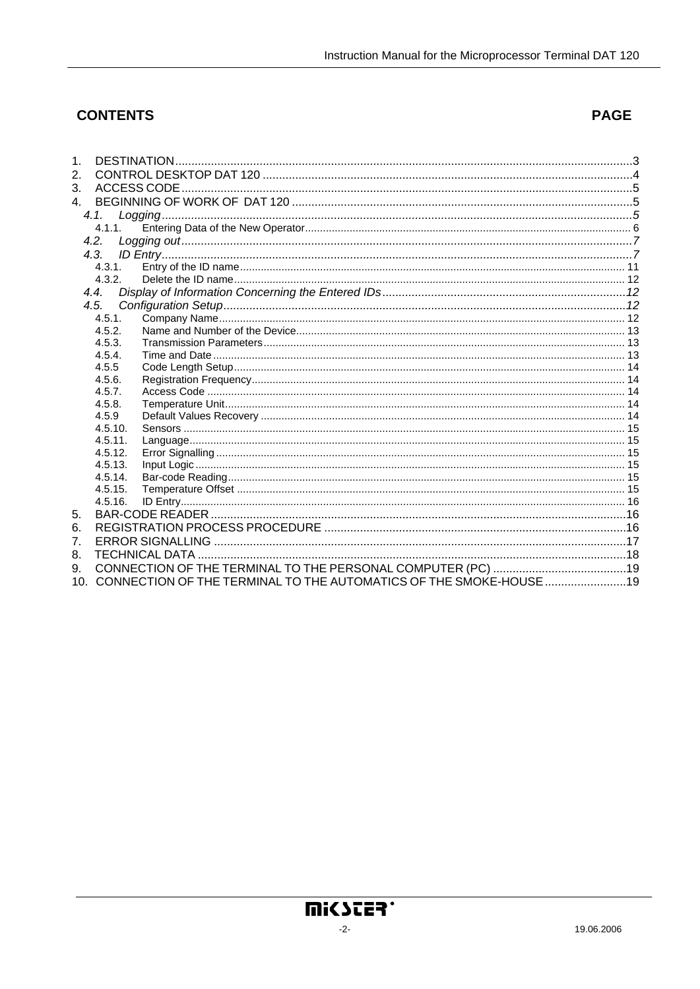## **CONTENTS**

## **PAGE**

| 1.               |           |                                                                        |  |
|------------------|-----------|------------------------------------------------------------------------|--|
| 2.               |           |                                                                        |  |
| 3.               |           |                                                                        |  |
| 4.               |           |                                                                        |  |
|                  | 4.1       |                                                                        |  |
|                  | $4.1.1$ . |                                                                        |  |
|                  | 4.2.      |                                                                        |  |
|                  | 4.3.      |                                                                        |  |
|                  | 4.3.1.    |                                                                        |  |
|                  | 4.3.2.    |                                                                        |  |
|                  | 4.4.      |                                                                        |  |
|                  | 4.5.      |                                                                        |  |
|                  | 4.5.1.    |                                                                        |  |
|                  | 4.5.2.    |                                                                        |  |
|                  | 4.5.3.    |                                                                        |  |
|                  | 4.5.4.    |                                                                        |  |
|                  | 4.5.5     |                                                                        |  |
|                  | 4.5.6.    |                                                                        |  |
|                  | 4.5.7.    |                                                                        |  |
|                  | 4.5.8.    |                                                                        |  |
|                  | 4.5.9     |                                                                        |  |
|                  | 4.5.10.   |                                                                        |  |
|                  | 4.5.11.   |                                                                        |  |
|                  | 4.5.12.   |                                                                        |  |
|                  | 4.5.13.   |                                                                        |  |
|                  | 4.5.14.   |                                                                        |  |
|                  | 4.5.15.   |                                                                        |  |
|                  | 4.5.16.   |                                                                        |  |
| 5.               |           |                                                                        |  |
| 6.               |           |                                                                        |  |
| $\overline{7}$ . |           |                                                                        |  |
| 8.               |           |                                                                        |  |
| 9.               |           |                                                                        |  |
|                  |           | 10. CONNECTION OF THE TERMINAL TO THE AUTOMATICS OF THE SMOKE-HOUSE 19 |  |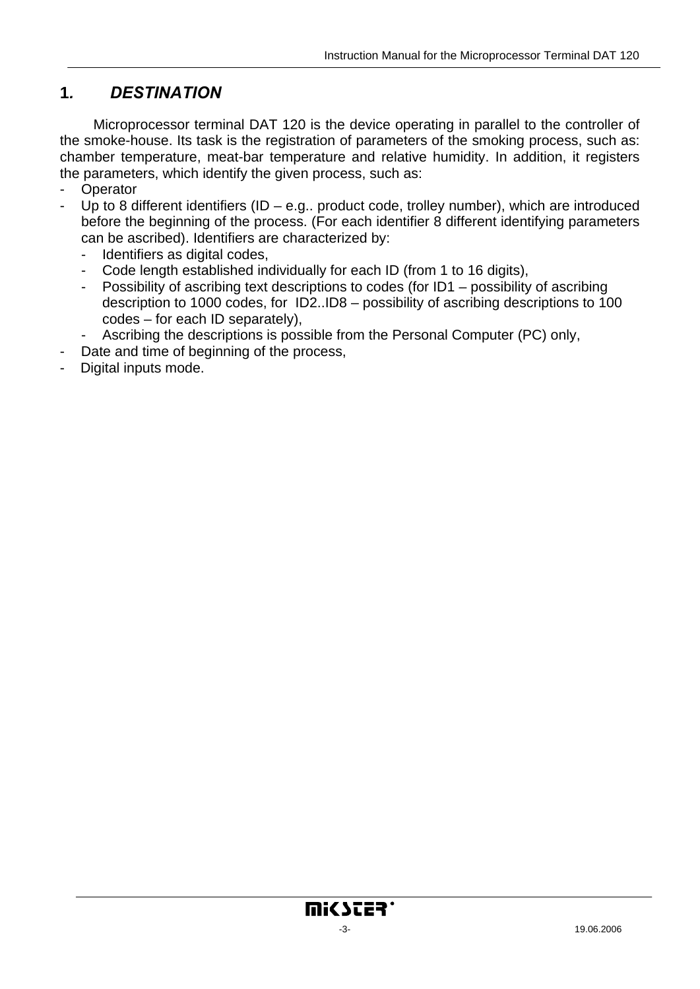## <span id="page-2-0"></span>**1***. DESTINATION*

Microprocessor terminal DAT 120 is the device operating in parallel to the controller of the smoke-house. Its task is the registration of parameters of the smoking process, such as: chamber temperature, meat-bar temperature and relative humidity. In addition, it registers the parameters, which identify the given process, such as:

- **Operator**
- Up to 8 different identifiers (ID e.g.. product code, trolley number), which are introduced before the beginning of the process. (For each identifier 8 different identifying parameters can be ascribed). Identifiers are characterized by:
	- Identifiers as digital codes,
	- Code length established individually for each ID (from 1 to 16 digits),
	- Possibility of ascribing text descriptions to codes (for ID1 possibility of ascribing description to 1000 codes, for ID2..ID8 – possibility of ascribing descriptions to 100 codes – for each ID separately),
	- Ascribing the descriptions is possible from the Personal Computer (PC) only,
- Date and time of beginning of the process,
- Digital inputs mode.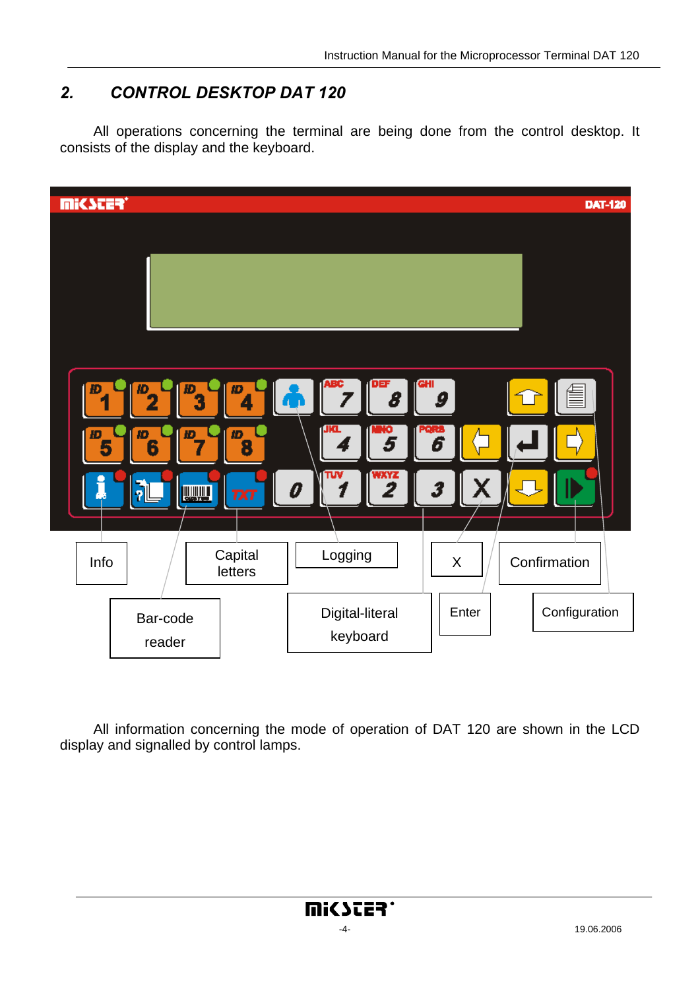## <span id="page-3-0"></span>*2. CONTROL DESKTOP DAT 120*

All operations concerning the terminal are being done from the control desktop. It consists of the display and the keyboard.



All information concerning the mode of operation of DAT 120 are shown in the LCD display and signalled by control lamps.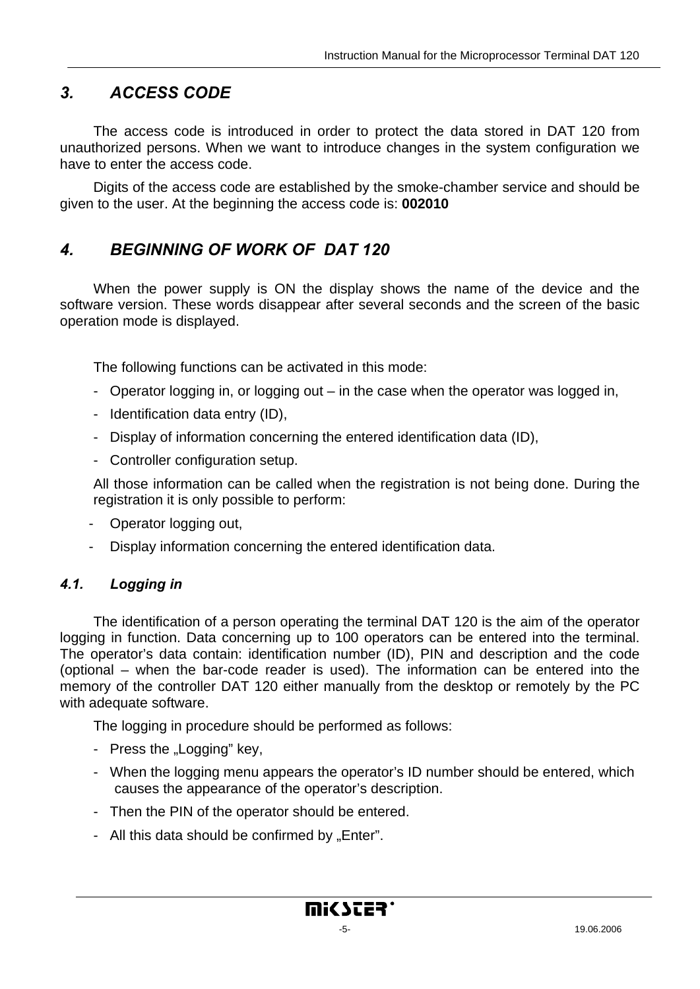## <span id="page-4-0"></span>*3. ACCESS CODE*

The access code is introduced in order to protect the data stored in DAT 120 from unauthorized persons. When we want to introduce changes in the system configuration we have to enter the access code.

Digits of the access code are established by the smoke-chamber service and should be given to the user. At the beginning the access code is: **002010**

## *4. BEGINNING OF WORK OF DAT 120*

When the power supply is ON the display shows the name of the device and the software version. These words disappear after several seconds and the screen of the basic operation mode is displayed.

The following functions can be activated in this mode:

- Operator logging in, or logging out in the case when the operator was logged in,
- Identification data entry (ID),
- Display of information concerning the entered identification data (ID),
- Controller configuration setup.

All those information can be called when the registration is not being done. During the registration it is only possible to perform:

- Operator logging out,
- Display information concerning the entered identification data.

#### *4.1. Logging in*

The identification of a person operating the terminal DAT 120 is the aim of the operator logging in function. Data concerning up to 100 operators can be entered into the terminal. The operator's data contain: identification number (ID), PIN and description and the code (optional – when the bar-code reader is used). The information can be entered into the memory of the controller DAT 120 either manually from the desktop or remotely by the PC with adequate software.

The logging in procedure should be performed as follows:

- Press the "Logging" key,
- When the logging menu appears the operator's ID number should be entered, which causes the appearance of the operator's description.
- Then the PIN of the operator should be entered.
- All this data should be confirmed by "Enter".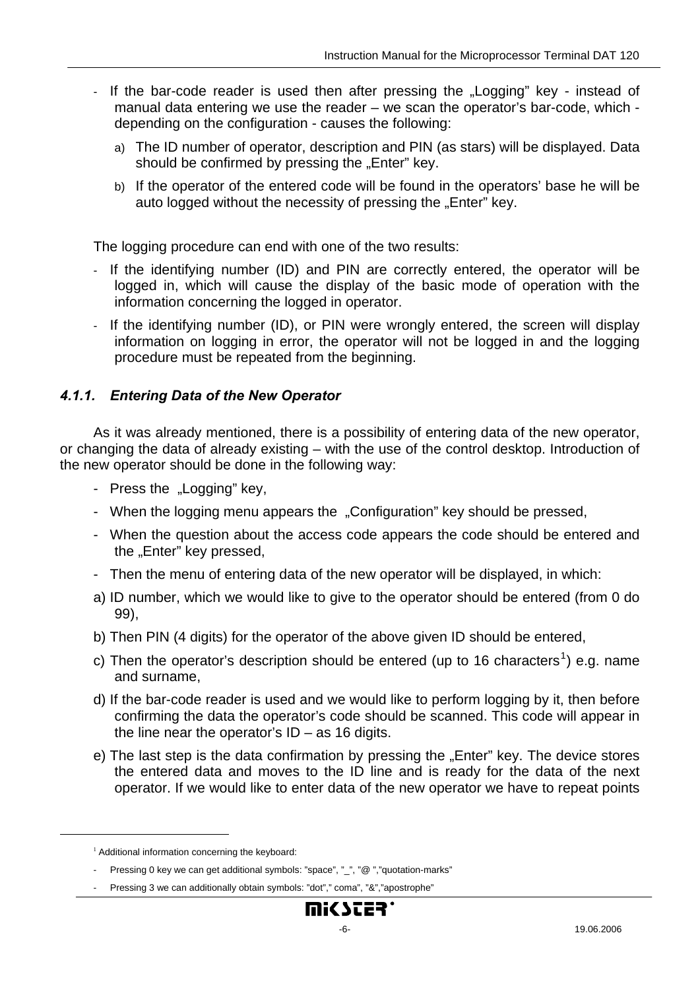- <span id="page-5-0"></span>If the bar-code reader is used then after pressing the "Logging" key - instead of manual data entering we use the reader – we scan the operator's bar-code, which depending on the configuration - causes the following:
	- a) The ID number of operator, description and PIN (as stars) will be displayed. Data should be confirmed by pressing the "Enter" key.
	- b) If the operator of the entered code will be found in the operators' base he will be auto logged without the necessity of pressing the "Enter" key.

The logging procedure can end with one of the two results:

- If the identifying number (ID) and PIN are correctly entered, the operator will be logged in, which will cause the display of the basic mode of operation with the information concerning the logged in operator.
- If the identifying number (ID), or PIN were wrongly entered, the screen will display information on logging in error, the operator will not be logged in and the logging procedure must be repeated from the beginning.

#### *4.1.1. Entering Data of the New Operator*

As it was already mentioned, there is a possibility of entering data of the new operator, or changing the data of already existing – with the use of the control desktop. Introduction of the new operator should be done in the following way:

- Press the "Logging" key,
- When the logging menu appears the "Configuration" key should be pressed,
- When the question about the access code appears the code should be entered and the "Enter" key pressed,
- Then the menu of entering data of the new operator will be displayed, in which:
- a) ID number, which we would like to give to the operator should be entered (from 0 do 99),
- b) Then PIN (4 digits) for the operator of the above given ID should be entered,
- c) Then the operator's description should be entered (up to [1](#page-5-1)6 characters<sup>1</sup>) e.g. name and surname,
- d) If the bar-code reader is used and we would like to perform logging by it, then before confirming the data the operator's code should be scanned. This code will appear in the line near the operator's  $ID - as 16$  digits.
- e) The last step is the data confirmation by pressing the "Enter" key. The device stores the entered data and moves to the ID line and is ready for the data of the next operator. If we would like to enter data of the new operator we have to repeat points

<span id="page-5-1"></span> $\overline{a}$ 

<sup>&</sup>lt;sup>1</sup> Additional information concerning the keyboard:

<sup>-</sup> Pressing 0 key we can get additional symbols: "space", " ", "@ ","quotation-marks"

<sup>-</sup> Pressing 3 we can additionally obtain symbols: "dot"," coma", "&","apostrophe"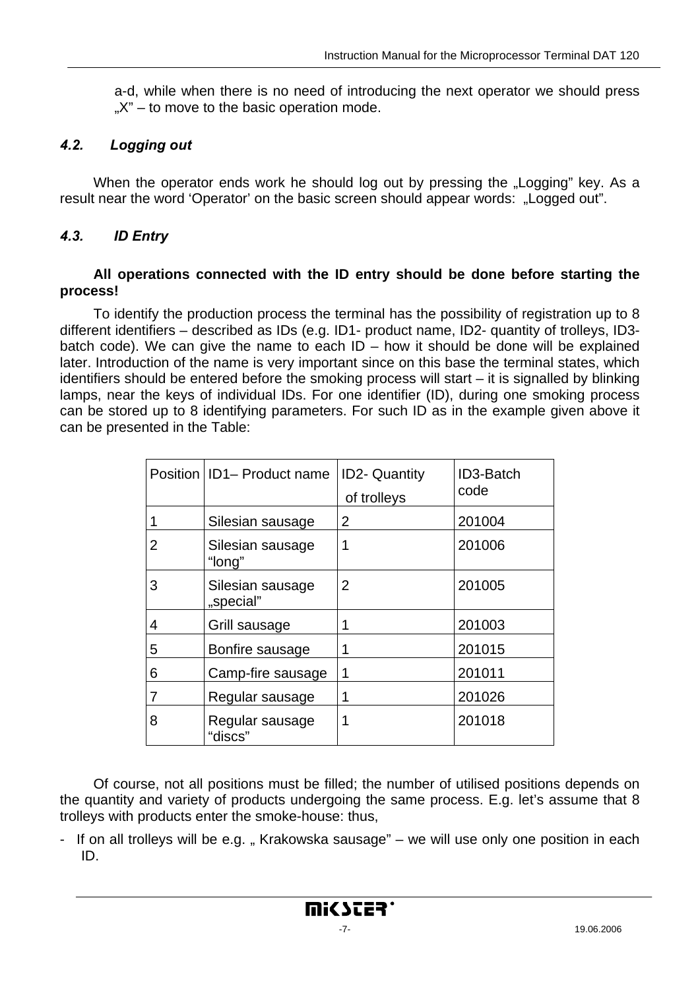<span id="page-6-0"></span>a-d, while when there is no need of introducing the next operator we should press  $X'' -$  to move to the basic operation mode.

#### *4.2. Logging out*

When the operator ends work he should log out by pressing the "Logging" key. As a result near the word 'Operator' on the basic screen should appear words: "Logged out".

#### *4.3. ID Entry*

#### **All operations connected with the ID entry should be done before starting the process!**

To identify the production process the terminal has the possibility of registration up to 8 different identifiers – described as IDs (e.g. ID1- product name, ID2- quantity of trolleys, ID3 batch code). We can give the name to each  $ID -$  how it should be done will be explained later. Introduction of the name is very important since on this base the terminal states, which identifiers should be entered before the smoking process will start – it is signalled by blinking lamps, near the keys of individual IDs. For one identifier (ID), during one smoking process can be stored up to 8 identifying parameters. For such ID as in the example given above it can be presented in the Table:

|   | Position   ID1- Product name  | <b>ID2- Quantity</b><br>of trolleys | ID3-Batch<br>code |
|---|-------------------------------|-------------------------------------|-------------------|
|   | Silesian sausage              | 2                                   | 201004            |
| 2 | Silesian sausage<br>"long"    | 1                                   | 201006            |
| 3 | Silesian sausage<br>"special" | $\overline{2}$                      | 201005            |
| 4 | Grill sausage                 | 1                                   | 201003            |
| 5 | Bonfire sausage               | 1                                   | 201015            |
| 6 | Camp-fire sausage             | 1                                   | 201011            |
| 7 | Regular sausage               | 1                                   | 201026            |
| 8 | Regular sausage<br>"discs"    | 1                                   | 201018            |

Of course, not all positions must be filled; the number of utilised positions depends on the quantity and variety of products undergoing the same process. E.g. let's assume that 8 trolleys with products enter the smoke-house: thus,

- If on all trolleys will be e.g. " Krakowska sausage" – we will use only one position in each ID.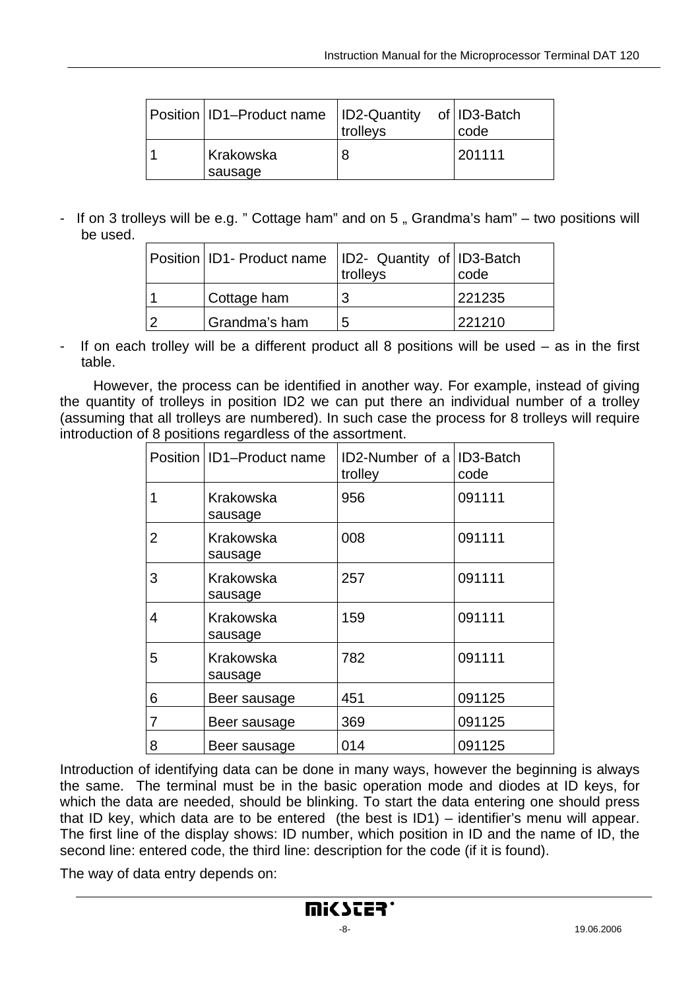| Position   ID1-Product name   ID2-Quantity | trolleys | of   ID3-Batch<br>code |
|--------------------------------------------|----------|------------------------|
| Krakowska<br>sausage                       |          | 201111                 |

- If on 3 trolleys will be e.g. " Cottage ham" and on 5, Grandma's ham" – two positions will be used.

| Position   ID1 - Product name   ID2 - Quantity of   ID3 - Batch | trolleys | code   |
|-----------------------------------------------------------------|----------|--------|
| Cottage ham                                                     |          | 221235 |
| Grandma's ham                                                   | 5        | 221210 |

If on each trolley will be a different product all 8 positions will be used  $-$  as in the first table.

 However, the process can be identified in another way. For example, instead of giving the quantity of trolleys in position ID2 we can put there an individual number of a trolley (assuming that all trolleys are numbered). In such case the process for 8 trolleys will require introduction of 8 positions regardless of the assortment.

|                | Position   ID1-Product name | ID2-Number of a ID3-Batch<br>trolley | code   |
|----------------|-----------------------------|--------------------------------------|--------|
| 1              | Krakowska<br>sausage        | 956                                  | 091111 |
| $\overline{2}$ | Krakowska<br>sausage        | 008                                  | 091111 |
| 3              | Krakowska<br>sausage        | 257                                  | 091111 |
| 4              | Krakowska<br>sausage        | 159                                  | 091111 |
| 5              | Krakowska<br>sausage        | 782                                  | 091111 |
| 6              | Beer sausage                | 451                                  | 091125 |
| 7              | Beer sausage                | 369                                  | 091125 |
| 8              | Beer sausage                | 014                                  | 091125 |

Introduction of identifying data can be done in many ways, however the beginning is always the same. The terminal must be in the basic operation mode and diodes at ID keys, for which the data are needed, should be blinking. To start the data entering one should press that ID key, which data are to be entered (the best is ID1) – identifier's menu will appear. The first line of the display shows: ID number, which position in ID and the name of ID, the second line: entered code, the third line: description for the code (if it is found).

The way of data entry depends on: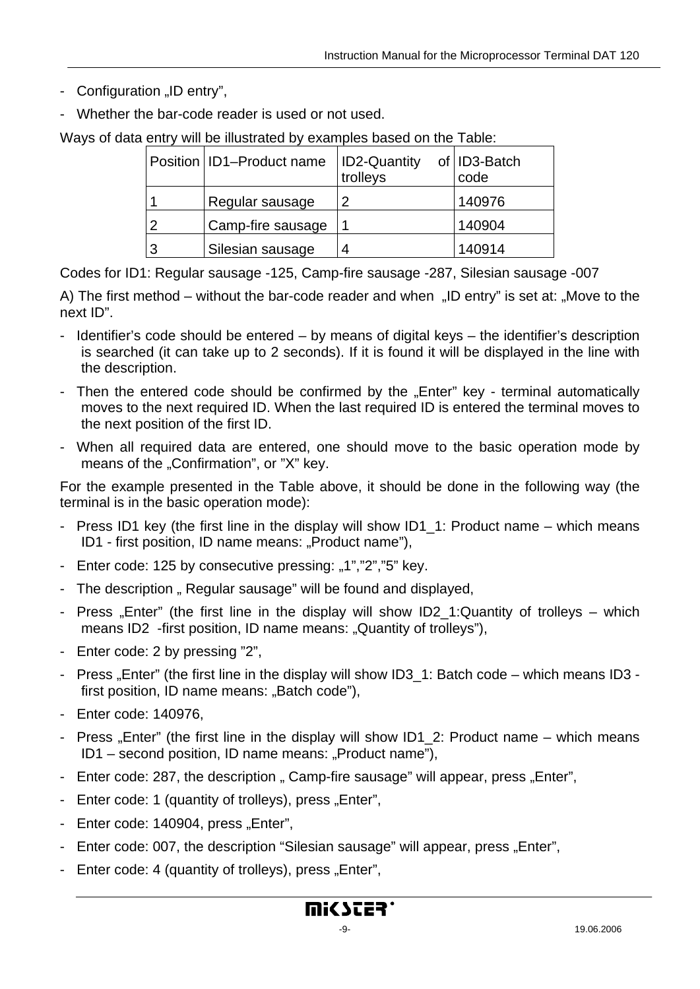- Configuration "ID entry",
- Whether the bar-code reader is used or not used.

Ways of data entry will be illustrated by examples based on the Table:

| Position   ID1-Product name | <b>ID2-Quantity</b><br>trolleys | of ID3-Batch<br>code |
|-----------------------------|---------------------------------|----------------------|
| Regular sausage             | C                               | 140976               |
| Camp-fire sausage           |                                 | 140904               |
| Silesian sausage            | ⊿                               | 140914               |

Codes for ID1: Regular sausage -125, Camp-fire sausage -287, Silesian sausage -007

A) The first method – without the bar-code reader and when  $\mu$ ID entry" is set at:  $\mu$ Move to the next ID".

- Identifier's code should be entered by means of digital keys the identifier's description is searched (it can take up to 2 seconds). If it is found it will be displayed in the line with the description.
- Then the entered code should be confirmed by the "Enter" key terminal automatically moves to the next required ID. When the last required ID is entered the terminal moves to the next position of the first ID.
- When all required data are entered, one should move to the basic operation mode by means of the "Confirmation", or "X" key.

For the example presented in the Table above, it should be done in the following way (the terminal is in the basic operation mode):

- Press ID1 key (the first line in the display will show ID1\_1: Product name which means ID1 - first position, ID name means: "Product name"),
- Enter code: 125 by consecutive pressing: "1","2","5" key.
- The description " Regular sausage" will be found and displayed,
- Press "Enter" (the first line in the display will show ID2 1:Quantity of trolleys which means ID2 -first position, ID name means: "Quantity of trolleys"),
- Enter code: 2 by pressing "2",
- Press "Enter" (the first line in the display will show ID3 1: Batch code which means ID3 first position, ID name means: "Batch code"),
- Enter code: 140976,
- Press "Enter" (the first line in the display will show ID1\_2: Product name which means ID1 – second position, ID name means: "Product name").
- Enter code: 287, the description " Camp-fire sausage" will appear, press "Enter",
- Enter code: 1 (quantity of trolleys), press, Enter",
- Enter code: 140904, press "Enter",
- Enter code: 007, the description "Silesian sausage" will appear, press "Enter",
- Enter code: 4 (quantity of trolleys), press "Enter",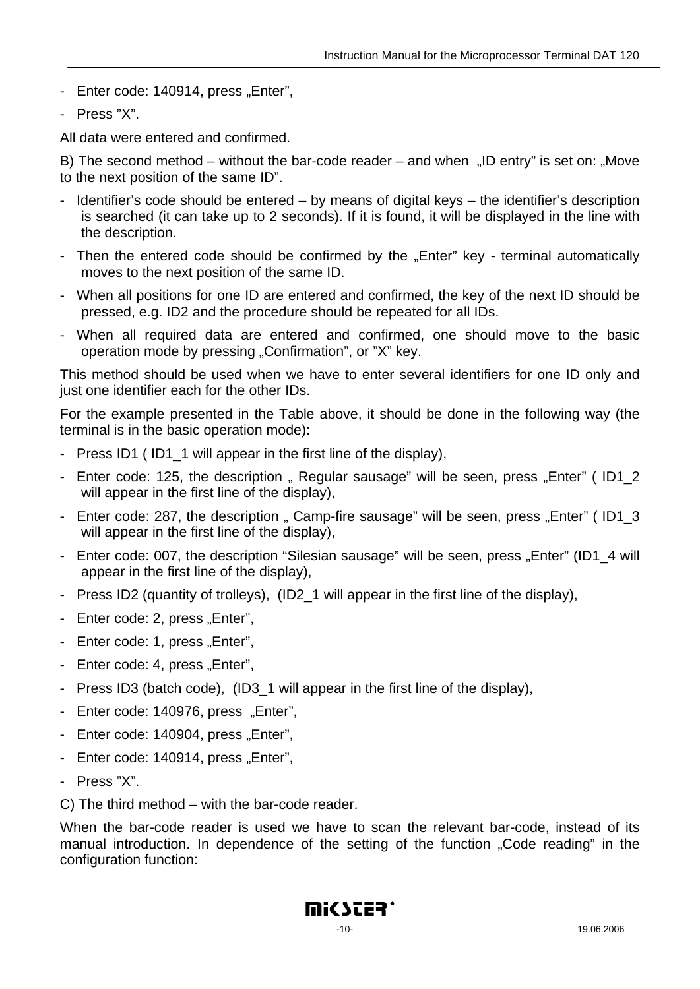- Enter code: 140914, press "Enter",
- Press "X".

All data were entered and confirmed.

B) The second method – without the bar-code reader – and when  $\Box$  ID entry" is set on:  $\Box$  Move to the next position of the same ID".

- Identifier's code should be entered by means of digital keys the identifier's description is searched (it can take up to 2 seconds). If it is found, it will be displayed in the line with the description.
- Then the entered code should be confirmed by the "Enter" key terminal automatically moves to the next position of the same ID.
- When all positions for one ID are entered and confirmed, the key of the next ID should be pressed, e.g. ID2 and the procedure should be repeated for all IDs.
- When all required data are entered and confirmed, one should move to the basic operation mode by pressing "Confirmation", or "X" key.

This method should be used when we have to enter several identifiers for one ID only and just one identifier each for the other IDs.

For the example presented in the Table above, it should be done in the following way (the terminal is in the basic operation mode):

- Press ID1 ( ID1\_1 will appear in the first line of the display),
- Enter code: 125, the description " Regular sausage" will be seen, press "Enter" (ID1\_2 will appear in the first line of the display),
- Enter code: 287, the description " Camp-fire sausage" will be seen, press "Enter" (ID1\_3 will appear in the first line of the display),
- Enter code: 007, the description "Silesian sausage" will be seen, press "Enter" (ID1\_4 will appear in the first line of the display),
- Press ID2 (quantity of trolleys), (ID2\_1 will appear in the first line of the display),
- Enter code: 2, press "Enter",
- Enter code: 1, press "Enter",
- Enter code: 4, press "Enter".
- Press ID3 (batch code), (ID3 1 will appear in the first line of the display),
- Enter code: 140976, press "Enter",
- Enter code: 140904, press "Enter",
- Enter code: 140914, press "Enter",
- Press "X".
- C) The third method with the bar-code reader.

When the bar-code reader is used we have to scan the relevant bar-code, instead of its manual introduction. In dependence of the setting of the function "Code reading" in the configuration function: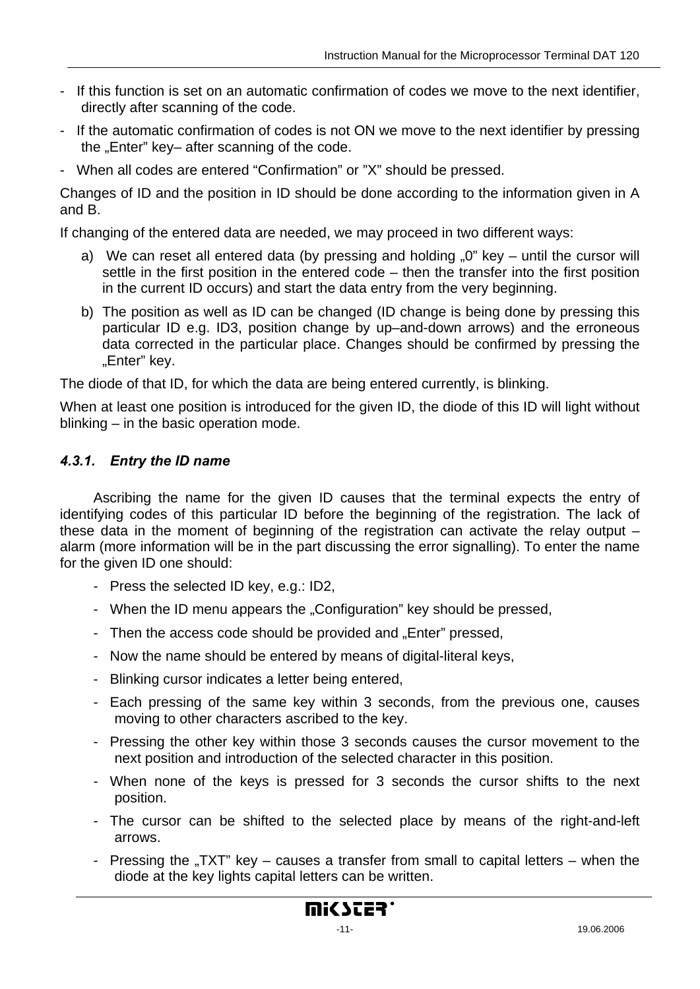- <span id="page-10-0"></span>If this function is set on an automatic confirmation of codes we move to the next identifier, directly after scanning of the code.
- If the automatic confirmation of codes is not ON we move to the next identifier by pressing the "Enter" key– after scanning of the code.
- When all codes are entered "Confirmation" or "X" should be pressed.

Changes of ID and the position in ID should be done according to the information given in A and B.

If changing of the entered data are needed, we may proceed in two different ways:

- a) We can reset all entered data (by pressing and holding  $.0$ " key until the cursor will settle in the first position in the entered code – then the transfer into the first position in the current ID occurs) and start the data entry from the very beginning.
- b) The position as well as ID can be changed (ID change is being done by pressing this particular ID e.g. ID3, position change by up–and-down arrows) and the erroneous data corrected in the particular place. Changes should be confirmed by pressing the "Enter" key.

The diode of that ID, for which the data are being entered currently, is blinking.

When at least one position is introduced for the given ID, the diode of this ID will light without blinking – in the basic operation mode.

#### *4.3.1. Entry the ID name*

Ascribing the name for the given ID causes that the terminal expects the entry of identifying codes of this particular ID before the beginning of the registration. The lack of these data in the moment of beginning of the registration can activate the relay output – alarm (more information will be in the part discussing the error signalling). To enter the name for the given ID one should:

- Press the selected ID key, e.g.: ID2,
- When the ID menu appears the "Configuration" key should be pressed,
- Then the access code should be provided and "Enter" pressed,
- Now the name should be entered by means of digital-literal keys,
- Blinking cursor indicates a letter being entered,
- Each pressing of the same key within 3 seconds, from the previous one, causes moving to other characters ascribed to the key.
- Pressing the other key within those 3 seconds causes the cursor movement to the next position and introduction of the selected character in this position.
- When none of the keys is pressed for 3 seconds the cursor shifts to the next position.
- The cursor can be shifted to the selected place by means of the right-and-left arrows.
- Pressing the "TXT" key  $-$  causes a transfer from small to capital letters  $-$  when the diode at the key lights capital letters can be written.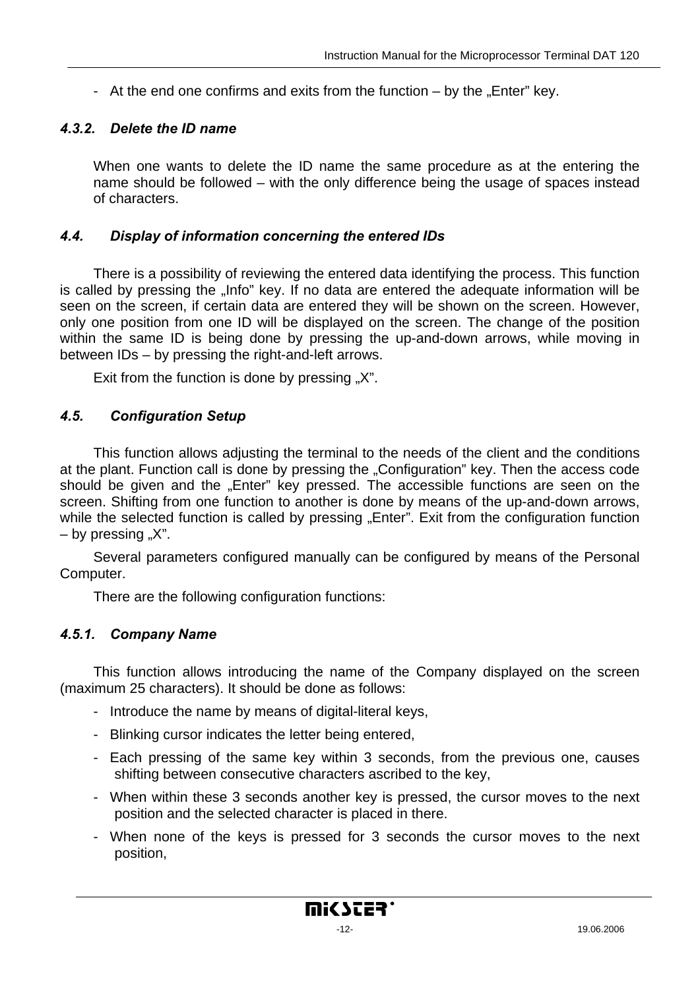<span id="page-11-0"></span>- At the end one confirms and exits from the function  $-$  by the "Enter" key.

#### *4.3.2. Delete the ID name*

When one wants to delete the ID name the same procedure as at the entering the name should be followed – with the only difference being the usage of spaces instead of characters.

#### *4.4. Display of information concerning the entered IDs*

There is a possibility of reviewing the entered data identifying the process. This function is called by pressing the "Info" key. If no data are entered the adequate information will be seen on the screen, if certain data are entered they will be shown on the screen. However, only one position from one ID will be displayed on the screen. The change of the position within the same ID is being done by pressing the up-and-down arrows, while moving in between IDs – by pressing the right-and-left arrows.

Exit from the function is done by pressing  $X$ ".

#### *4.5. Configuration Setup*

This function allows adjusting the terminal to the needs of the client and the conditions at the plant. Function call is done by pressing the "Configuration" key. Then the access code should be given and the "Enter" key pressed. The accessible functions are seen on the screen. Shifting from one function to another is done by means of the up-and-down arrows, while the selected function is called by pressing "Enter". Exit from the configuration function  $-$  by pressing  $\alpha$ .

Several parameters configured manually can be configured by means of the Personal Computer.

There are the following configuration functions:

#### *4.5.1. Company Name*

This function allows introducing the name of the Company displayed on the screen (maximum 25 characters). It should be done as follows:

- Introduce the name by means of digital-literal keys,
- Blinking cursor indicates the letter being entered,
- Each pressing of the same key within 3 seconds, from the previous one, causes shifting between consecutive characters ascribed to the key,
- When within these 3 seconds another key is pressed, the cursor moves to the next position and the selected character is placed in there.
- When none of the keys is pressed for 3 seconds the cursor moves to the next position,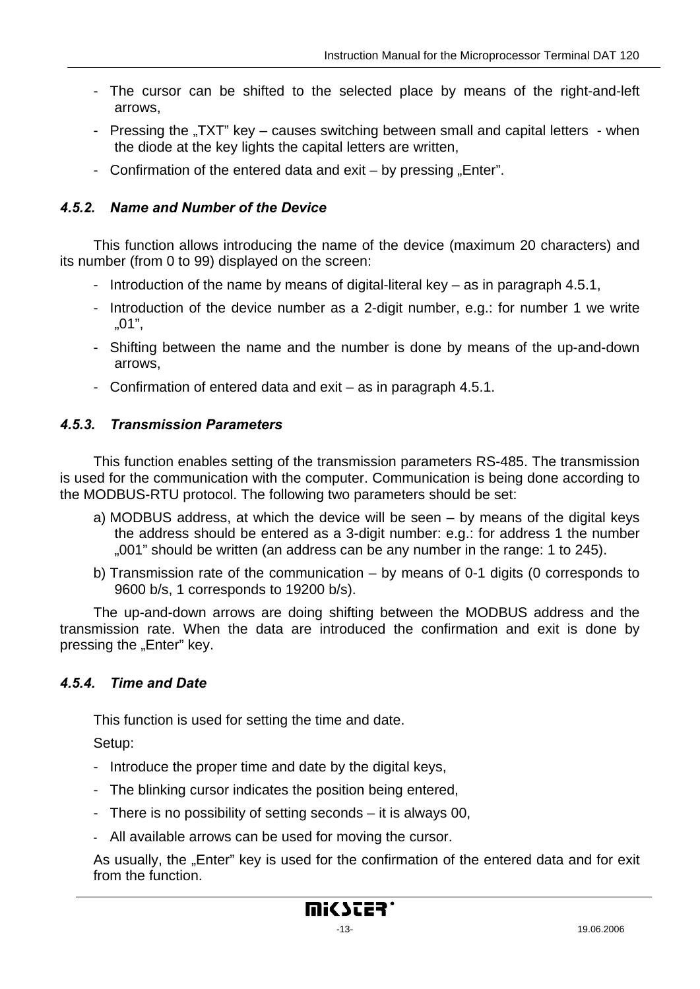- <span id="page-12-0"></span>- The cursor can be shifted to the selected place by means of the right-and-left arrows,
- Pressing the "TXT" key causes switching between small and capital letters when the diode at the key lights the capital letters are written,
- Confirmation of the entered data and exit  $-$  by pressing "Enter".

#### *4.5.2. Name and Number of the Device*

This function allows introducing the name of the device (maximum 20 characters) and its number (from 0 to 99) displayed on the screen:

- Introduction of the name by means of digital-literal key as in paragraph 4.5.1,
- Introduction of the device number as a 2-digit number, e.g.: for number 1 we write "01",
- Shifting between the name and the number is done by means of the up-and-down arrows,
- Confirmation of entered data and exit as in paragraph 4.5.1.

#### *4.5.3. Transmission Parameters*

This function enables setting of the transmission parameters RS-485. The transmission is used for the communication with the computer. Communication is being done according to the MODBUS-RTU protocol. The following two parameters should be set:

- a) MODBUS address, at which the device will be seen by means of the digital keys the address should be entered as a 3-digit number: e.g.: for address 1 the number ..001" should be written (an address can be any number in the range: 1 to 245).
- b) Transmission rate of the communication by means of 0-1 digits (0 corresponds to 9600 b/s, 1 corresponds to 19200 b/s).

The up-and-down arrows are doing shifting between the MODBUS address and the transmission rate. When the data are introduced the confirmation and exit is done by pressing the "Enter" key.

#### *4.5.4. Time and Date*

This function is used for setting the time and date.

Setup:

- Introduce the proper time and date by the digital keys,
- The blinking cursor indicates the position being entered,
- There is no possibility of setting seconds it is always 00,
- All available arrows can be used for moving the cursor.

As usually, the "Enter" key is used for the confirmation of the entered data and for exit from the function.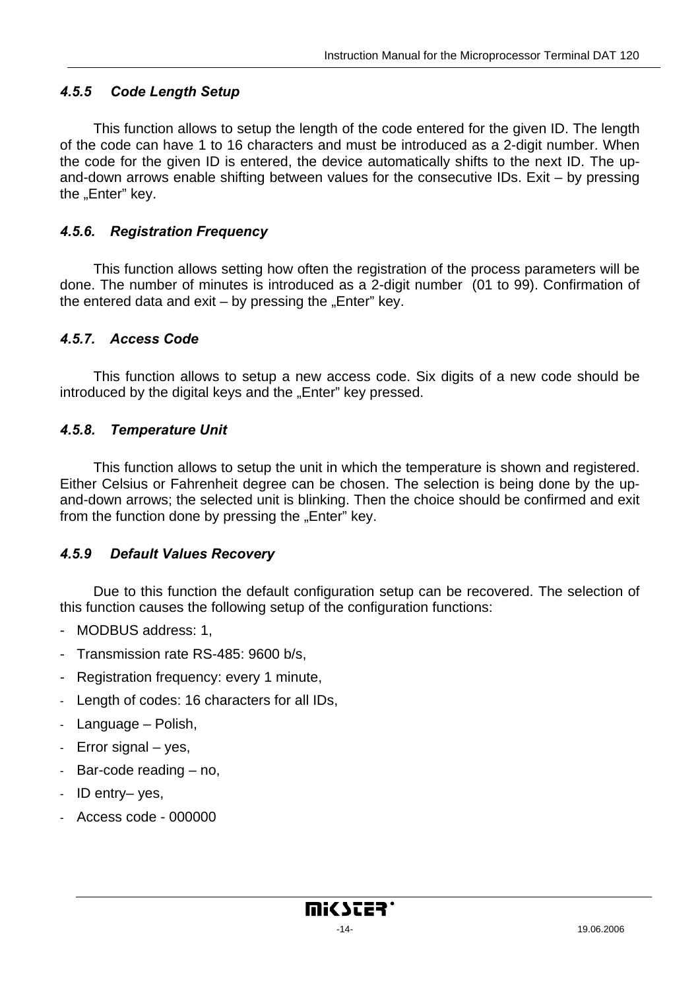#### <span id="page-13-0"></span>*4.5.5 Code Length Setup*

This function allows to setup the length of the code entered for the given ID. The length of the code can have 1 to 16 characters and must be introduced as a 2-digit number. When the code for the given ID is entered, the device automatically shifts to the next ID. The upand-down arrows enable shifting between values for the consecutive IDs. Exit – by pressing the "Enter" key.

#### *4.5.6. Registration Frequency*

This function allows setting how often the registration of the process parameters will be done. The number of minutes is introduced as a 2-digit number (01 to 99). Confirmation of the entered data and exit  $-$  by pressing the "Enter" key.

#### *4.5.7. Access Code*

This function allows to setup a new access code. Six digits of a new code should be introduced by the digital keys and the "Enter" key pressed.

#### *4.5.8. Temperature Unit*

This function allows to setup the unit in which the temperature is shown and registered. Either Celsius or Fahrenheit degree can be chosen. The selection is being done by the upand-down arrows; the selected unit is blinking. Then the choice should be confirmed and exit from the function done by pressing the "Enter" key.

#### *4.5.9 Default Values Recovery*

Due to this function the default configuration setup can be recovered. The selection of this function causes the following setup of the configuration functions:

- MODBUS address: 1,
- Transmission rate RS-485: 9600 b/s,
- Registration frequency: every 1 minute,
- Length of codes: 16 characters for all IDs,
- Language Polish,
- Error signal yes,
- Bar-code reading no,
- ID entry– yes,
- Access code 000000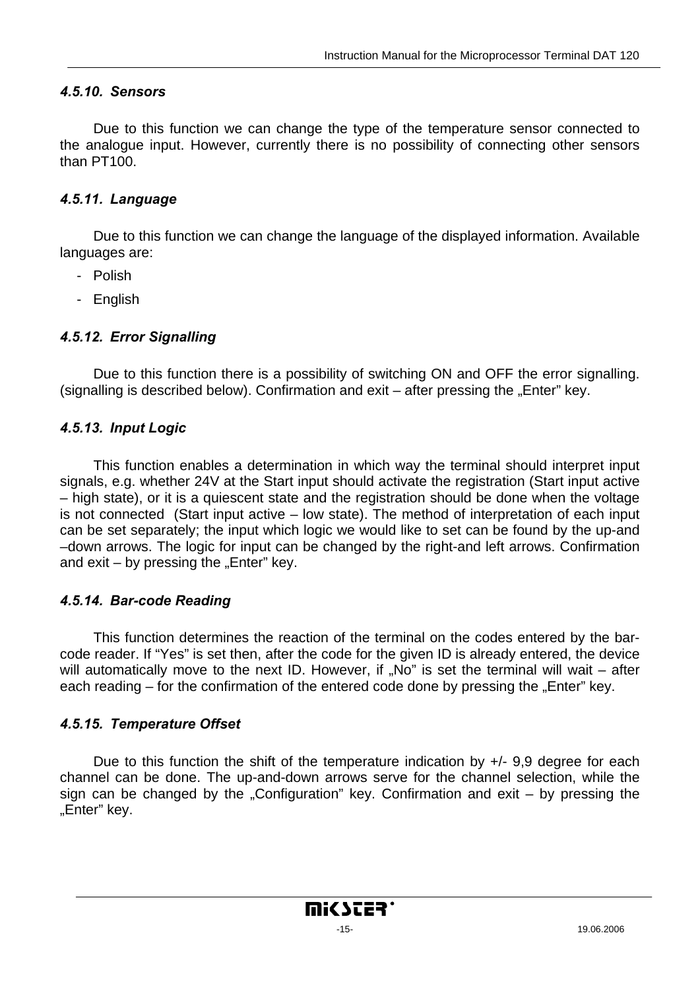#### <span id="page-14-0"></span>*4.5.10. Sensors*

Due to this function we can change the type of the temperature sensor connected to the analogue input. However, currently there is no possibility of connecting other sensors than PT100.

#### *4.5.11. Language*

Due to this function we can change the language of the displayed information. Available languages are:

- Polish
- English

#### *4.5.12. Error Signalling*

Due to this function there is a possibility of switching ON and OFF the error signalling. (signalling is described below). Confirmation and  $exit -$  after pressing the "Enter" key.

#### *4.5.13. Input Logic*

This function enables a determination in which way the terminal should interpret input signals, e.g. whether 24V at the Start input should activate the registration (Start input active – high state), or it is a quiescent state and the registration should be done when the voltage is not connected (Start input active – low state). The method of interpretation of each input can be set separately; the input which logic we would like to set can be found by the up-and –down arrows. The logic for input can be changed by the right-and left arrows. Confirmation and  $ext - by$  pressing the "Enter" key.

#### *4.5.14. Bar-code Reading*

This function determines the reaction of the terminal on the codes entered by the barcode reader. If "Yes" is set then, after the code for the given ID is already entered, the device will automatically move to the next ID. However, if "No" is set the terminal will wait  $-$  after each reading  $-$  for the confirmation of the entered code done by pressing the "Enter" key.

#### *4.5.15. Temperature Offset*

Due to this function the shift of the temperature indication by  $+/-$  9,9 degree for each channel can be done. The up-and-down arrows serve for the channel selection, while the sign can be changed by the "Configuration" key. Confirmation and exit – by pressing the "Enter" key.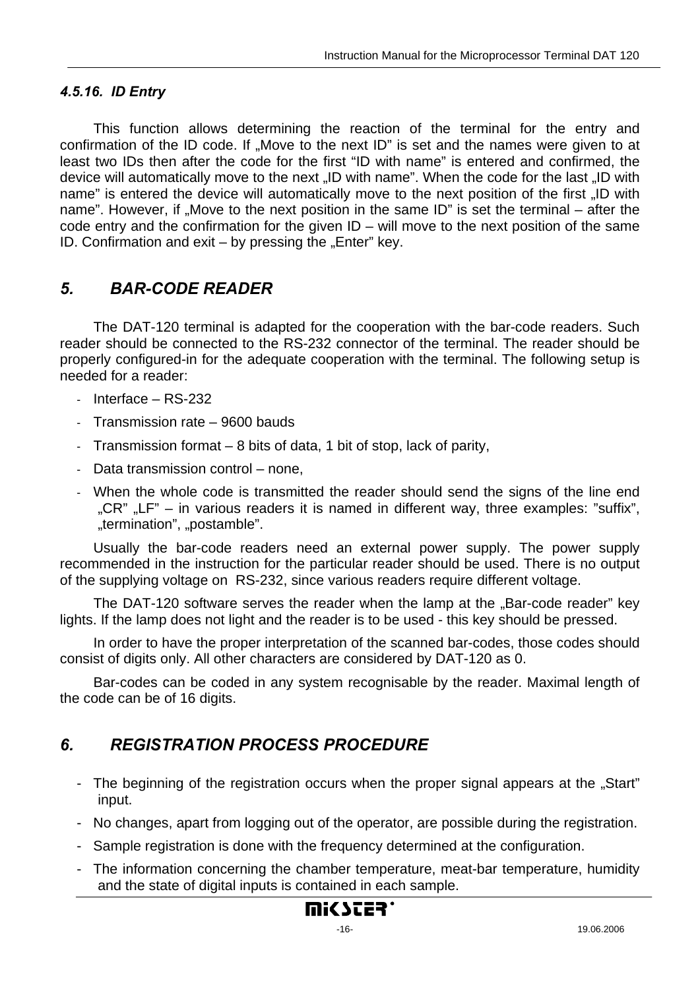#### <span id="page-15-0"></span>*4.5.16. ID Entry*

This function allows determining the reaction of the terminal for the entry and confirmation of the ID code. If "Move to the next ID" is set and the names were given to at least two IDs then after the code for the first "ID with name" is entered and confirmed, the device will automatically move to the next "ID with name". When the code for the last "ID with name" is entered the device will automatically move to the next position of the first "ID with name". However, if "Move to the next position in the same ID" is set the terminal  $-$  after the code entry and the confirmation for the given ID – will move to the next position of the same ID. Confirmation and  $exit - by$  pressing the "Enter" key.

## *5. BAR-CODE READER*

The DAT-120 terminal is adapted for the cooperation with the bar-code readers. Such reader should be connected to the RS-232 connector of the terminal. The reader should be properly configured-in for the adequate cooperation with the terminal. The following setup is needed for a reader:

- Interface RS-232
- Transmission rate 9600 bauds
- Transmission format 8 bits of data, 1 bit of stop, lack of parity,
- Data transmission control none,
- When the whole code is transmitted the reader should send the signs of the line end  $C \times C$ "  $C$  LF" – in various readers it is named in different way, three examples: "suffix", "termination", "postamble".

Usually the bar-code readers need an external power supply. The power supply recommended in the instruction for the particular reader should be used. There is no output of the supplying voltage on RS-232, since various readers require different voltage.

The DAT-120 software serves the reader when the lamp at the "Bar-code reader" key lights. If the lamp does not light and the reader is to be used - this key should be pressed.

In order to have the proper interpretation of the scanned bar-codes, those codes should consist of digits only. All other characters are considered by DAT-120 as 0.

Bar-codes can be coded in any system recognisable by the reader. Maximal length of the code can be of 16 digits.

## *6. REGISTRATION PROCESS PROCEDURE*

- The beginning of the registration occurs when the proper signal appears at the "Start" input.
- No changes, apart from logging out of the operator, are possible during the registration.
- Sample registration is done with the frequency determined at the configuration.
- The information concerning the chamber temperature, meat-bar temperature, humidity and the state of digital inputs is contained in each sample.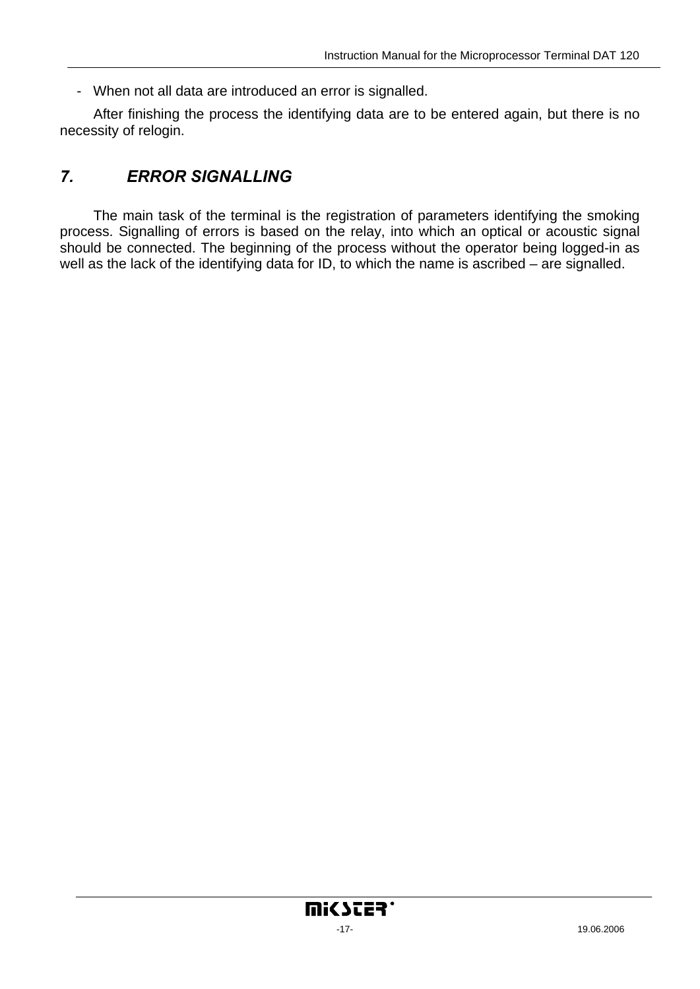<span id="page-16-0"></span>- When not all data are introduced an error is signalled.

After finishing the process the identifying data are to be entered again, but there is no necessity of relogin.

## *7. ERROR SIGNALLING*

The main task of the terminal is the registration of parameters identifying the smoking process. Signalling of errors is based on the relay, into which an optical or acoustic signal should be connected. The beginning of the process without the operator being logged-in as well as the lack of the identifying data for ID, to which the name is ascribed – are signalled.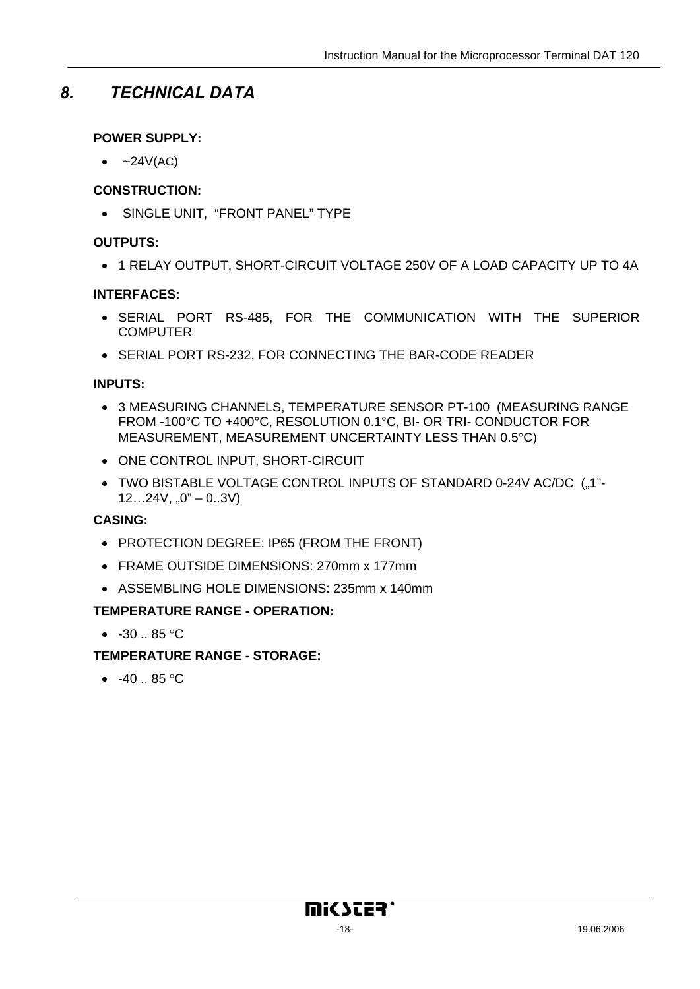## <span id="page-17-0"></span>*8. TECHNICAL DATA*

#### **POWER SUPPLY:**

 $\bullet$  ~24V(AC)

#### **CONSTRUCTION:**

• SINGLE UNIT, "FRONT PANEL" TYPE

#### **OUTPUTS:**

• 1 RELAY OUTPUT, SHORT-CIRCUIT VOLTAGE 250V OF A LOAD CAPACITY UP TO 4A

#### **INTERFACES:**

- SERIAL PORT RS-485, FOR THE COMMUNICATION WITH THE SUPERIOR **COMPUTER**
- SERIAL PORT RS-232, FOR CONNECTING THE BAR-CODE READER

#### **INPUTS:**

- 3 MEASURING CHANNELS, TEMPERATURE SENSOR PT-100 (MEASURING RANGE FROM -100°C TO +400°C, RESOLUTION 0.1°C, BI- OR TRI- CONDUCTOR FOR MEASUREMENT, MEASUREMENT UNCERTAINTY LESS THAN 0.5°C)
- ONE CONTROL INPUT, SHORT-CIRCUIT
- TWO BISTABLE VOLTAGE CONTROL INPUTS OF STANDARD 0-24V AC/DC ("1"- $12...24V, 0" - 0.3V$

#### **CASING:**

- PROTECTION DEGREE: IP65 (FROM THE FRONT)
- FRAME OUTSIDE DIMENSIONS: 270mm x 177mm
- ASSEMBLING HOLE DIMENSIONS: 235mm x 140mm

#### **TEMPERATURE RANGE - OPERATION:**

•  $-30.85$  °C

#### **TEMPERATURE RANGE - STORAGE:**

•  $-40.85$  °C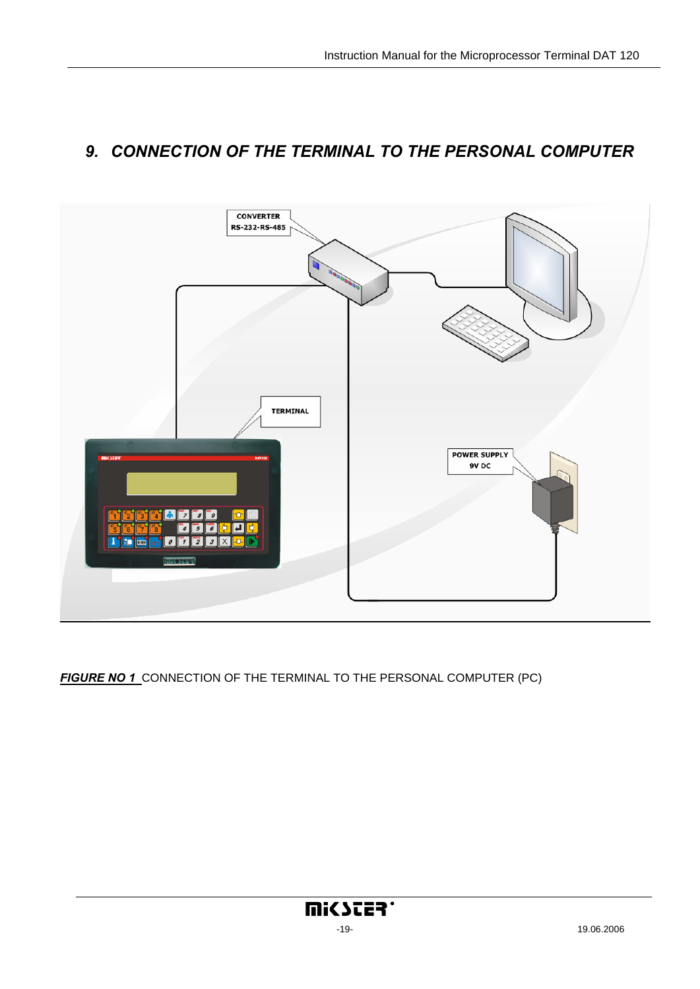![](_page_18_Figure_1.jpeg)

## <span id="page-18-0"></span>*9. CONNECTION OF THE TERMINAL TO THE PERSONAL COMPUTER*

*FIGURE NO 1* CONNECTION OF THE TERMINAL TO THE PERSONAL COMPUTER (PC)